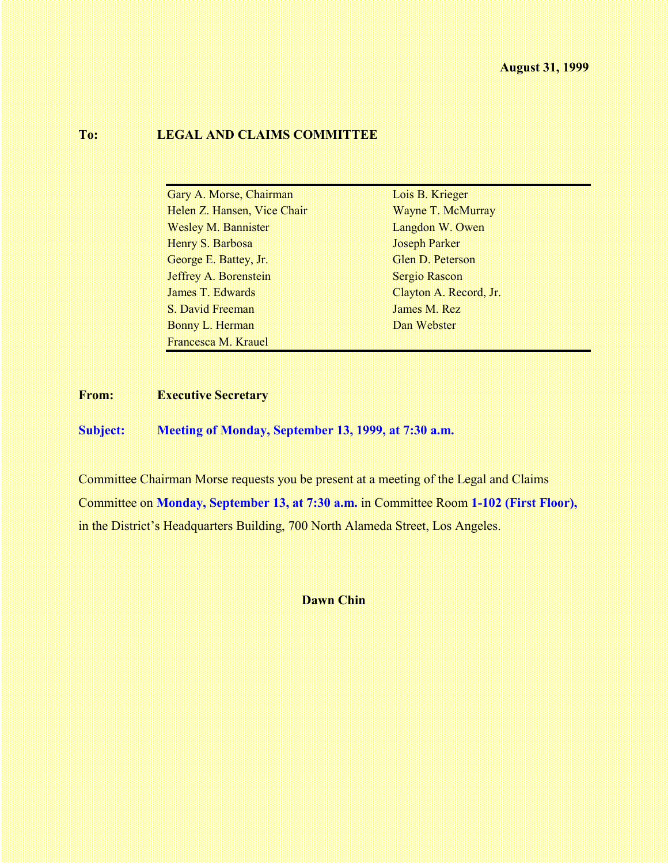#### **To: LEGAL AND CLAIMS COMMITTEE**

| Gary A. Morse, Chairman      | Lois B. Krieger        |
|------------------------------|------------------------|
| Helen Z. Hansen, Vice Chair  | Wayne T. McMurray      |
| <b>Wesley M. Bannister</b>   | Langdon W. Owen        |
| Henry S. Barbosa             | <b>Joseph Parker</b>   |
| George E. Battey, Jr.        | Glen D. Peterson       |
| <b>Jeffrey A. Borenstein</b> | Sergio Rascon          |
| James T. Edwards             | Clayton A. Record, Jr. |
| S. David Freeman             | James M. Rez           |
| Bonny L. Herman              | Dan Webster            |
| Francesca M. Krauel          |                        |

**From: Executive Secretary**

**Subject: Meeting of Monday, September 13, 1999, at 7:30 a.m.**

Committee Chairman Morse requests you be present at a meeting of the Legal and Claims Committee on **Monday, September 13, at 7:30 a.m.** in Committee Room **1-102 (First Floor),** in the District's Headquarters Building, 700 North Alameda Street, Los Angeles.

**Dawn Chin**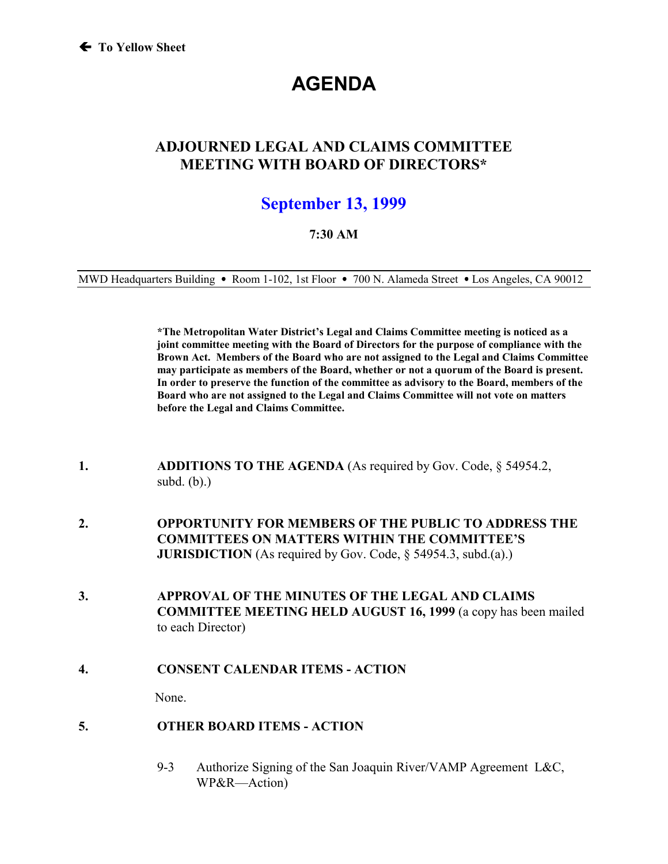# **AGENDA**

# **ADJOURNED LEGAL AND CLAIMS COMMITTEE MEETING WITH BOARD OF DIRECTORS\***

# **September 13, 1999**

#### **7:30 AM**

MWD Headquarters Building • Room 1-102, 1st Floor • 700 N. Alameda Street • Los Angeles, CA 90012

**\*The Metropolitan Water District's Legal and Claims Committee meeting is noticed as a joint committee meeting with the Board of Directors for the purpose of compliance with the Brown Act. Members of the Board who are not assigned to the Legal and Claims Committee may participate as members of the Board, whether or not a quorum of the Board is present. In order to preserve the function of the committee as advisory to the Board, members of the Board who are not assigned to the Legal and Claims Committee will not vote on matters before the Legal and Claims Committee.**

- **1. ADDITIONS TO THE AGENDA** (As required by Gov. Code, § 54954.2, subd. (b).)
- **2. OPPORTUNITY FOR MEMBERS OF THE PUBLIC TO ADDRESS THE COMMITTEES ON MATTERS WITHIN THE COMMITTEE'S JURISDICTION** (As required by Gov. Code, § 54954.3, subd.(a).)
- **3. APPROVAL OF THE MINUTES OF THE LEGAL AND CLAIMS COMMITTEE MEETING HELD AUGUST 16, 1999** (a copy has been mailed to each Director)
- **4. CONSENT CALENDAR ITEMS ACTION**

None.

- **5. OTHER BOARD ITEMS ACTION**
	- 9-3 Authorize Signing of the San Joaquin River/VAMP Agreement L&C, WP&R—Action)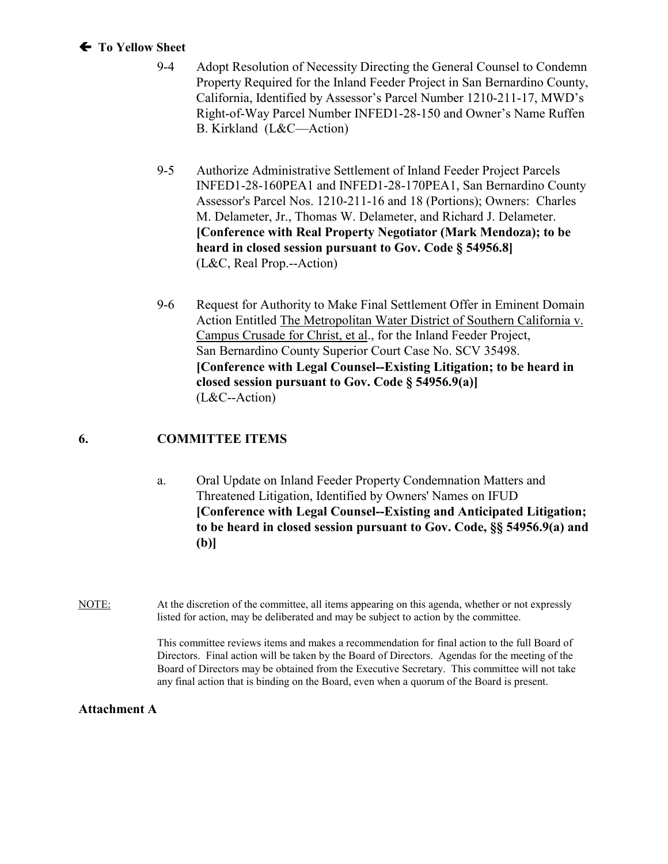#### ! **To Yellow Sheet**

- 9-4 Adopt Resolution of Necessity Directing the General Counsel to Condemn Property Required for the Inland Feeder Project in San Bernardino County, California, Identified by Assessor's Parcel Number 1210-211-17, MWD's Right-of-Way Parcel Number INFED1-28-150 and Owner's Name Ruffen B. Kirkland (L&C—Action)
- 9-5 Authorize Administrative Settlement of Inland Feeder Project Parcels INFED1-28-160PEA1 and INFED1-28-170PEA1, San Bernardino County Assessor's Parcel Nos. 1210-211-16 and 18 (Portions); Owners: Charles M. Delameter, Jr., Thomas W. Delameter, and Richard J. Delameter. **[Conference with Real Property Negotiator (Mark Mendoza); to be heard in closed session pursuant to Gov. Code § 54956.8]** (L&C, Real Prop.--Action)
- 9-6 Request for Authority to Make Final Settlement Offer in Eminent Domain Action Entitled The Metropolitan Water District of Southern California v. Campus Crusade for Christ, et al., for the Inland Feeder Project, San Bernardino County Superior Court Case No. SCV 35498. **[Conference with Legal Counsel--Existing Litigation; to be heard in closed session pursuant to Gov. Code § 54956.9(a)]** (L&C--Action)

#### **6. COMMITTEE ITEMS**

- a. Oral Update on Inland Feeder Property Condemnation Matters and Threatened Litigation, Identified by Owners' Names on IFUD **[Conference with Legal Counsel--Existing and Anticipated Litigation; to be heard in closed session pursuant to Gov. Code, §§ 54956.9(a) and (b)]**
- NOTE: At the discretion of the committee, all items appearing on this agenda, whether or not expressly listed for action, may be deliberated and may be subject to action by the committee.

This committee reviews items and makes a recommendation for final action to the full Board of Directors. Final action will be taken by the Board of Directors. Agendas for the meeting of the Board of Directors may be obtained from the Executive Secretary. This committee will not take any final action that is binding on the Board, even when a quorum of the Board is present.

#### **Attachment A**